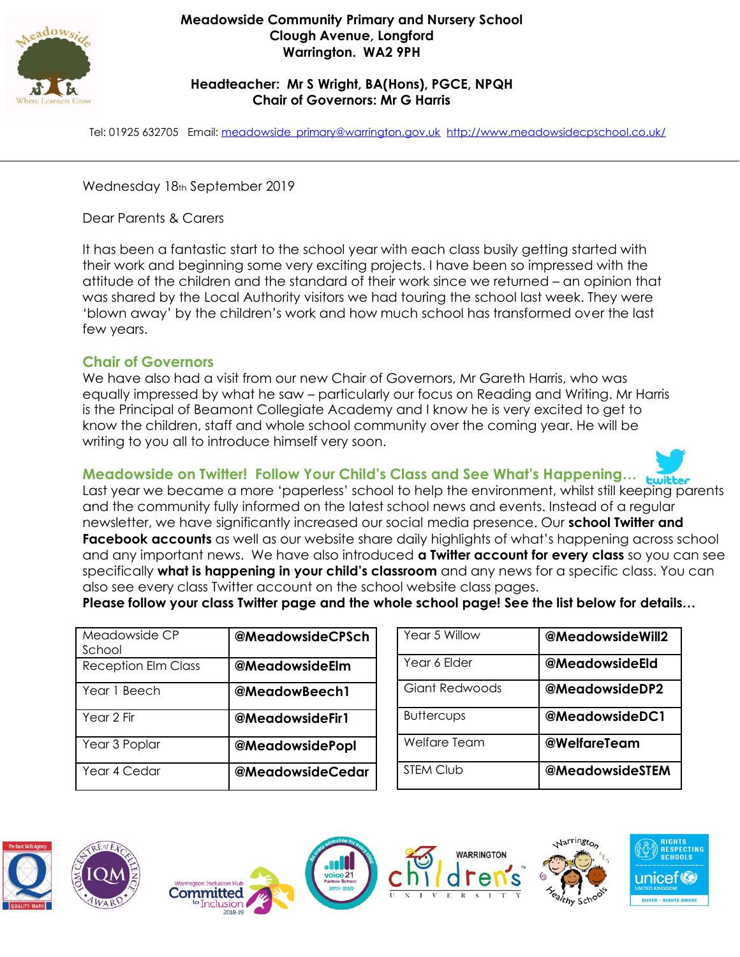

### **Meadowside Community Primary and Nursery School Clough Avenue, Longford Warrington. WA2 9PH**

## **Headteacher: Mr S Wright, BA(Hons), PGCE, NPQH Chair of Governors: Mr G Harris**

Tel: 01925 632705 Email: [meadowside\\_primary@warrington.gov.uk](mailto:meadowside_primary@warrington.gov.uk) <http://www.meadowsidecpschool.co.uk/>

Wednesday 18th September 2019

Dear Parents & Carers

It has been a fantastic start to the school year with each class busily getting started with their work and beginning some very exciting projects. I have been so impressed with the attitude of the children and the standard of their work since we returned – an opinion that was shared by the Local Authority visitors we had touring the school last week. They were 'blown away' by the children's work and how much school has transformed over the last few years.

## **Chair of Governors**

We have also had a visit from our new Chair of Governors, Mr Gareth Harris, who was equally impressed by what he saw – particularly our focus on Reading and Writing. Mr Harris is the Principal of Beamont Collegiate Academy and I know he is very excited to get to know the children, staff and whole school community over the coming year. He will be writing to you all to introduce himself very soon.

# **Meadowside on Twitter! Follow Your Child's Class and See What's Happening…**



Last year we became a more 'paperless' school to help the environment, whilst still keeping parents and the community fully informed on the latest school news and events. Instead of a regular newsletter, we have significantly increased our social media presence. Our **school Twitter and Facebook accounts** as well as our website share daily highlights of what's happening across school and any important news. We have also introduced **a Twitter account for every class** so you can see specifically **what is happening in your child's classroom** and any news for a specific class. You can also see every class Twitter account on the school website class pages. **Please follow your class Twitter page and the whole school page! See the list below for details…**

| Meadowside CP<br>School    | <b>@MeadowsideCPSch</b> | Year         |
|----------------------------|-------------------------|--------------|
| <b>Reception Elm Class</b> | @MeadowsideElm          | Year         |
| Year 1 Beech               | @MeadowBeech1           | Giar         |
| Year 2 Fir                 | @MeadowsideFir1         | <b>Butte</b> |
| Year 3 Poplar              | <b>@MeadowsidePopl</b>  | Welf         |
| Year 4 Cedar               | @MeadowsideCedar        | <b>STEM</b>  |

| Year 5 Willow     | @MeadowsideWill2       |
|-------------------|------------------------|
| Year 6 Elder      | @MeadowsideEld         |
| Giant Redwoods    | @MeadowsideDP2         |
| <b>Buttercups</b> | @MeadowsideDC1         |
| Welfare Team      | @WelfareTeam           |
| <b>STEM Club</b>  | <b>@MeadowsideSTEM</b> |